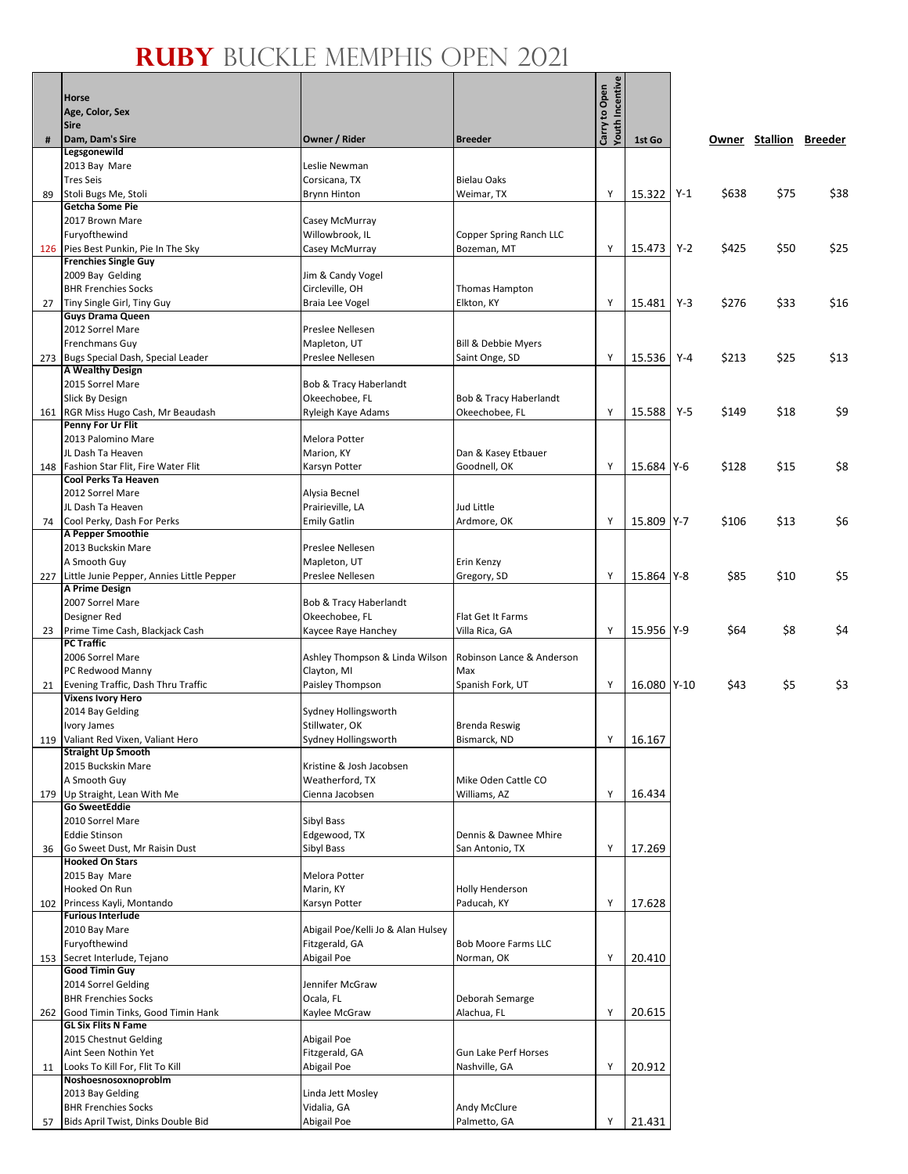## **Ruby** Buckle Memphis Open 2021

 $\overline{\phantom{a}}$ 

 $\overline{\phantom{0}}$ 

|     | <b>Horse</b>                                                     |                                                      |                                       | <b>Youth Incentive</b> |             |       |       |      |                        |
|-----|------------------------------------------------------------------|------------------------------------------------------|---------------------------------------|------------------------|-------------|-------|-------|------|------------------------|
|     | Age, Color, Sex                                                  |                                                      |                                       | Carry to Open          |             |       |       |      |                        |
|     | <b>Sire</b>                                                      |                                                      |                                       |                        |             |       |       |      |                        |
| #   | Dam, Dam's Sire<br>Legsgonewild                                  | Owner / Rider                                        | <b>Breeder</b>                        |                        | 1st Go      |       |       |      | Owner Stallion Breeder |
|     | 2013 Bay Mare                                                    | Leslie Newman                                        |                                       |                        |             |       |       |      |                        |
|     | <b>Tres Seis</b>                                                 | Corsicana, TX                                        | <b>Bielau Oaks</b>                    |                        |             |       |       |      |                        |
| 89  | Stoli Bugs Me, Stoli<br><b>Getcha Some Pie</b>                   | <b>Brynn Hinton</b>                                  | Weimar, TX                            | Y                      | 15.322      | $Y-1$ | \$638 | \$75 | \$38                   |
|     | 2017 Brown Mare                                                  | Casey McMurray                                       |                                       |                        |             |       |       |      |                        |
|     | Furyofthewind                                                    | Willowbrook, IL                                      | Copper Spring Ranch LLC               |                        |             |       |       |      |                        |
|     | 126 Pies Best Punkin, Pie In The Sky                             | Casey McMurray                                       | Bozeman, MT                           | Y                      | 15.473      | $Y-2$ | \$425 | \$50 | \$25                   |
|     | <b>Frenchies Single Guy</b>                                      |                                                      |                                       |                        |             |       |       |      |                        |
|     | 2009 Bay Gelding<br><b>BHR Frenchies Socks</b>                   | Jim & Candy Vogel<br>Circleville, OH                 | Thomas Hampton                        |                        |             |       |       |      |                        |
| 27  | Tiny Single Girl, Tiny Guy                                       | Braia Lee Vogel                                      | Elkton, KY                            | Υ                      | 15.481      | $Y-3$ | \$276 | \$33 | \$16                   |
|     | <b>Guys Drama Queen</b>                                          |                                                      |                                       |                        |             |       |       |      |                        |
|     | 2012 Sorrel Mare                                                 | Preslee Nellesen                                     |                                       |                        |             |       |       |      |                        |
|     | Frenchmans Guy<br>273 Bugs Special Dash, Special Leader          | Mapleton, UT<br>Preslee Nellesen                     | Bill & Debbie Myers<br>Saint Onge, SD | Y                      | 15.536      | $Y-4$ | \$213 | \$25 | \$13                   |
|     | <b>A Wealthy Design</b>                                          |                                                      |                                       |                        |             |       |       |      |                        |
|     | 2015 Sorrel Mare                                                 | Bob & Tracy Haberlandt                               |                                       |                        |             |       |       |      |                        |
|     | Slick By Design                                                  | Okeechobee, FL                                       | Bob & Tracy Haberlandt                |                        |             |       |       |      |                        |
|     | 161 RGR Miss Hugo Cash, Mr Beaudash<br>Penny For Ur Flit         | Ryleigh Kaye Adams                                   | Okeechobee, FL                        | Y                      | 15.588      | $Y-5$ | \$149 | \$18 | \$9                    |
|     | 2013 Palomino Mare                                               | Melora Potter                                        |                                       |                        |             |       |       |      |                        |
|     | JL Dash Ta Heaven                                                | Marion, KY                                           | Dan & Kasey Etbauer                   |                        |             |       |       |      |                        |
| 148 | Fashion Star Flit, Fire Water Flit                               | Karsyn Potter                                        | Goodnell, OK                          | Υ                      | 15.684 Y-6  |       | \$128 | \$15 | \$8                    |
|     | Cool Perks Ta Heaven<br>2012 Sorrel Mare                         | Alysia Becnel                                        |                                       |                        |             |       |       |      |                        |
|     | JL Dash Ta Heaven                                                | Prairieville, LA                                     | Jud Little                            |                        |             |       |       |      |                        |
| 74  | Cool Perky, Dash For Perks                                       | <b>Emily Gatlin</b>                                  | Ardmore, OK                           | Υ                      | 15.809 Y-7  |       | \$106 | \$13 | \$6                    |
|     | A Pepper Smoothie                                                |                                                      |                                       |                        |             |       |       |      |                        |
|     | 2013 Buckskin Mare<br>A Smooth Guy                               | Preslee Nellesen<br>Mapleton, UT                     | Erin Kenzy                            |                        |             |       |       |      |                        |
| 227 | Little Junie Pepper, Annies Little Pepper                        | Preslee Nellesen                                     | Gregory, SD                           | Y                      | 15.864 Y-8  |       | \$85  | \$10 | \$5                    |
|     | A Prime Design                                                   |                                                      |                                       |                        |             |       |       |      |                        |
|     | 2007 Sorrel Mare                                                 | Bob & Tracy Haberlandt                               |                                       |                        |             |       |       |      |                        |
|     | Designer Red<br>23 Prime Time Cash, Blackjack Cash               | Okeechobee, FL<br>Kaycee Raye Hanchey                | Flat Get It Farms<br>Villa Rica, GA   | Y                      | 15.956 Y-9  |       | \$64  | \$8  | \$4                    |
|     | <b>PC Traffic</b>                                                |                                                      |                                       |                        |             |       |       |      |                        |
|     | 2006 Sorrel Mare                                                 | Ashley Thompson & Linda Wilson                       | Robinson Lance & Anderson             |                        |             |       |       |      |                        |
|     | PC Redwood Manny<br>21 Evening Traffic, Dash Thru Traffic        | Clayton, MI                                          | Max                                   |                        | 16.080 Y-10 |       |       |      |                        |
|     | <b>Vixens Ivory Hero</b>                                         | Paisley Thompson                                     | Spanish Fork, UT                      | Y                      |             |       | \$43  | \$5  | \$3                    |
|     | 2014 Bay Gelding                                                 | Sydney Hollingsworth                                 |                                       |                        |             |       |       |      |                        |
|     | Ivory James                                                      | Stillwater, OK                                       | <b>Brenda Reswig</b>                  |                        |             |       |       |      |                        |
|     | 119 Valiant Red Vixen, Valiant Hero<br><b>Straight Up Smooth</b> | Sydney Hollingsworth                                 | Bismarck, ND                          | Y                      | 16.167      |       |       |      |                        |
|     | 2015 Buckskin Mare                                               | Kristine & Josh Jacobsen                             |                                       |                        |             |       |       |      |                        |
|     | A Smooth Guy                                                     | Weatherford, TX                                      | Mike Oden Cattle CO                   |                        |             |       |       |      |                        |
| 179 | Up Straight, Lean With Me<br><b>Go SweetEddie</b>                | Cienna Jacobsen                                      | Williams, AZ                          | Y                      | 16.434      |       |       |      |                        |
|     | 2010 Sorrel Mare                                                 | Sibyl Bass                                           |                                       |                        |             |       |       |      |                        |
|     | <b>Eddie Stinson</b>                                             | Edgewood, TX                                         | Dennis & Dawnee Mhire                 |                        |             |       |       |      |                        |
| 36  | Go Sweet Dust, Mr Raisin Dust                                    | Sibyl Bass                                           | San Antonio, TX                       | Υ                      | 17.269      |       |       |      |                        |
|     | <b>Hooked On Stars</b>                                           | Melora Potter                                        |                                       |                        |             |       |       |      |                        |
|     | 2015 Bay Mare<br>Hooked On Run                                   | Marin, KY                                            | <b>Holly Henderson</b>                |                        |             |       |       |      |                        |
|     | 102 Princess Kayli, Montando                                     | Karsyn Potter                                        | Paducah, KY                           | Y                      | 17.628      |       |       |      |                        |
|     | <b>Furious Interlude</b>                                         |                                                      |                                       |                        |             |       |       |      |                        |
|     | 2010 Bay Mare<br>Furyofthewind                                   | Abigail Poe/Kelli Jo & Alan Hulsey<br>Fitzgerald, GA | <b>Bob Moore Farms LLC</b>            |                        |             |       |       |      |                        |
|     | 153 Secret Interlude, Tejano                                     | Abigail Poe                                          | Norman, OK                            | Y                      | 20.410      |       |       |      |                        |
|     | <b>Good Timin Guy</b>                                            |                                                      |                                       |                        |             |       |       |      |                        |
|     | 2014 Sorrel Gelding                                              | Jennifer McGraw                                      |                                       |                        |             |       |       |      |                        |
|     | <b>BHR Frenchies Socks</b>                                       | Ocala, FL                                            | Deborah Semarge                       | Y                      |             |       |       |      |                        |
| 262 | Good Timin Tinks, Good Timin Hank<br><b>GL Six Flits N Fame</b>  | Kaylee McGraw                                        | Alachua, FL                           |                        | 20.615      |       |       |      |                        |
|     | 2015 Chestnut Gelding                                            | Abigail Poe                                          |                                       |                        |             |       |       |      |                        |
|     | Aint Seen Nothin Yet                                             | Fitzgerald, GA                                       | Gun Lake Perf Horses                  |                        |             |       |       |      |                        |
| 11  | Looks To Kill For, Flit To Kill<br>Noshoesnosoxnoproblm          | Abigail Poe                                          | Nashville, GA                         | Υ                      | 20.912      |       |       |      |                        |
|     | 2013 Bay Gelding                                                 | Linda Jett Mosley                                    |                                       |                        |             |       |       |      |                        |
|     | <b>BHR Frenchies Socks</b>                                       | Vidalia, GA                                          | Andy McClure                          |                        |             |       |       |      |                        |
| 57  | Bids April Twist, Dinks Double Bid                               | Abigail Poe                                          | Palmetto, GA                          | Y                      | 21.431      |       |       |      |                        |